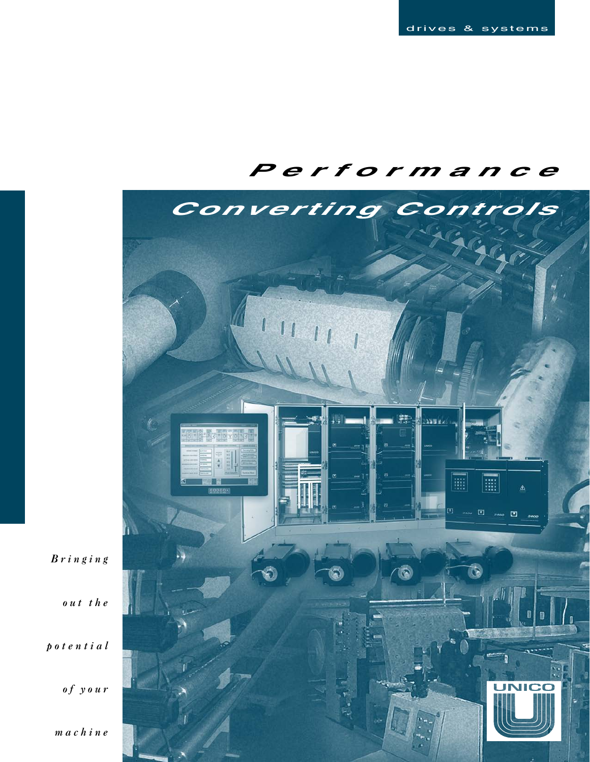# **Performance**



*Bringing*

*out the*

*potential*

*of your*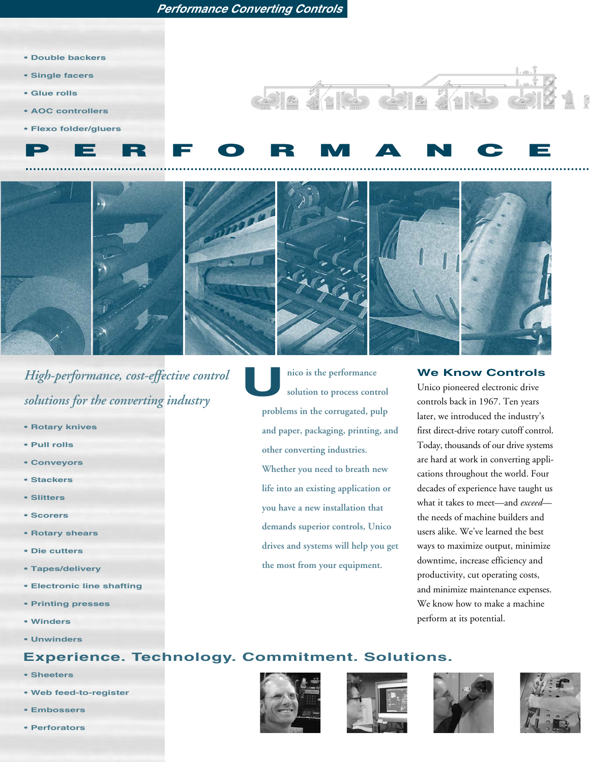- **Double backers**
- **• Single facers**
- **Glue rolls**
- **• AOC controllers**
- **Flexo folder/gluers**



113 25 2



*High-performance, cost-effective control solutions for the converting industry*

- **• Rotary knives**
- **Pull rolls**
- **• Conveyors**
- **Stackers**
- **Slitters**
- **Scorers**
- **Rotary shears**
- **Die cutters**
- **Tapes/delivery**
- **• Electronic line shafting**
- **Printing presses**
- **• Winders**
- **Unwinders**

**nico is the performance solution to process control problems in the corrugated, pulp and paper, packaging, printing, and other converting industries. Whether you need to breath new life into an existing application or you have a new installation that demands superior controls, Unico drives and systems will help you get the most from your equipment. U**

### **We Know Controls**

Unico pioneered electronic drive controls back in 1967. Ten years later, we introduced the industry's first direct-drive rotary cutoff control. Today, thousands of our drive systems are hard at work in converting applications throughout the world. Four decades of experience have taught us what it takes to meet—and *exceed* the needs of machine builders and users alike. We've learned the best ways to maximize output, minimize downtime, increase efficiency and productivity, cut operating costs, and minimize maintenance expenses. We know how to make a machine perform at its potential.

### **Experience. Technology. Commitment. Solutions.**

- **Sheeters**
- **• Web feed-to-register**
- **Embossers**
- **Perforators**







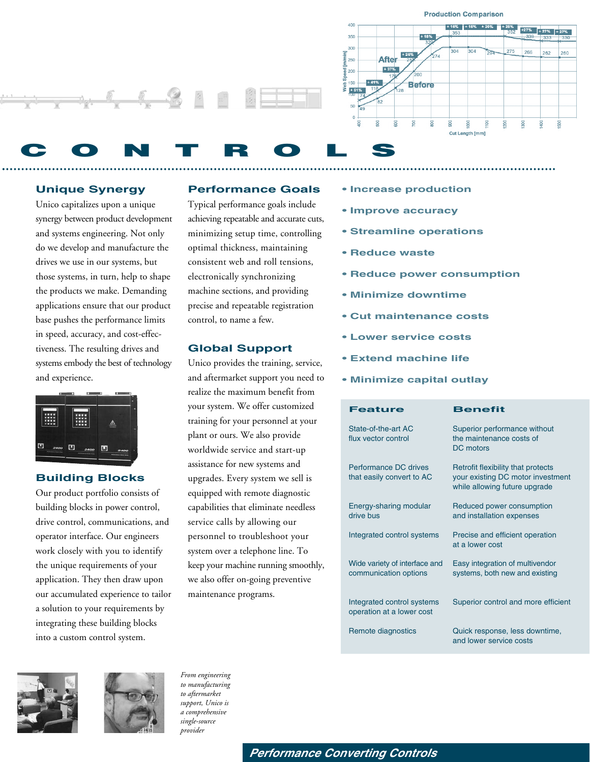

### **Unique Synergy**

Unico capitalizes upon a unique synergy between product development and systems engineering. Not only do we develop and manufacture the drives we use in our systems, but those systems, in turn, help to shape the products we make. Demanding applications ensure that our product base pushes the performance limits in speed, accuracy, and cost-effectiveness. The resulting drives and systems embody the best of technology and experience.



### **Building Blocks**

Our product portfolio consists of building blocks in power control, drive control, communications, and operator interface. Our engineers work closely with you to identify the unique requirements of your application. They then draw upon our accumulated experience to tailor a solution to your requirements by integrating these building blocks into a custom control system.

### **Performance Goals**

Typical performance goals include achieving repeatable and accurate cuts, minimizing setup time, controlling optimal thickness, maintaining consistent web and roll tensions, electronically synchronizing machine sections, and providing precise and repeatable registration control, to name a few.

### **Global Support**

Unico provides the training, service, and aftermarket support you need to realize the maximum benefit from your system. We offer customized training for your personnel at your plant or ours. We also provide worldwide service and start-up assistance for new systems and upgrades. Every system we sell is equipped with remote diagnostic capabilities that eliminate needless service calls by allowing our personnel to troubleshoot your system over a telephone line. To keep your machine running smoothly, we also offer on-going preventive maintenance programs.

- **• Increase production**
- **• Improve accuracy**
- **• Streamline operations**
- **• Reduce waste**
- **• Reduce power consumption**

260

នី

- **• Minimize downtime**
- **• Cut maintenance costs**
- **• Lower service costs**
- **• Extend machine life**
- **• Minimize capital outlay**

| <b>Feature</b>                                          | <b>Benefit</b>                                                                                           |
|---------------------------------------------------------|----------------------------------------------------------------------------------------------------------|
| State-of-the-art AC<br>flux vector control              | Superior performance without<br>the maintenance costs of<br>DC motors                                    |
| Performance DC drives<br>that easily convert to AC      | Retrofit flexibility that protects<br>your existing DC motor investment<br>while allowing future upgrade |
| Energy-sharing modular<br>drive bus                     | Reduced power consumption<br>and installation expenses                                                   |
| Integrated control systems                              | Precise and efficient operation<br>at a lower cost                                                       |
| Wide variety of interface and<br>communication options  | Easy integration of multivendor<br>systems, both new and existing                                        |
| Integrated control systems<br>operation at a lower cost | Superior control and more efficient                                                                      |
| Remote diagnostics                                      | Quick response, less downtime,<br>and lower service costs                                                |





*From engineering to manufacturing to aftermarket support, Unico is a comprehensive single-source provider* 

**Performance Converting Controls**